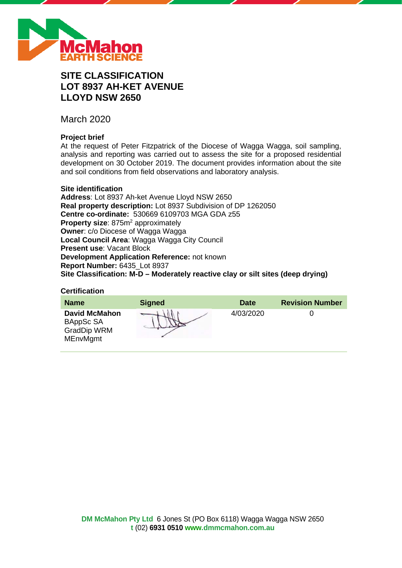

# **SITE CLASSIFICATION LOT 8937 AH-KET AVENUE LLOYD NSW 2650**

March 2020

# **Project brief**

At the request of Peter Fitzpatrick of the Diocese of Wagga Wagga, soil sampling, analysis and reporting was carried out to assess the site for a proposed residential development on 30 October 2019. The document provides information about the site and soil conditions from field observations and laboratory analysis.

#### **Site identification**

**Address**: Lot 8937 Ah-ket Avenue Lloyd NSW 2650 **Real property description:** Lot 8937 Subdivision of DP 1262050 **Centre co-ordinate:** 530669 6109703 MGA GDA z55 **Property size:** 875m<sup>2</sup> approximately **Owner**: c/o Diocese of Wagga Wagga **Local Council Area**: Wagga Wagga City Council **Present use**: Vacant Block **Development Application Reference:** not known **Report Number:** 6435\_Lot 8937 **Site Classification: M-D – Moderately reactive clay or silt sites (deep drying)**

#### **Certification**

| <b>Name</b>                                                                | <b>Signed</b> | <b>Date</b> | <b>Revision Number</b> |
|----------------------------------------------------------------------------|---------------|-------------|------------------------|
| <b>David McMahon</b><br>BAppSc SA<br><b>GradDip WRM</b><br><b>MEnvMgmt</b> |               | 4/03/2020   |                        |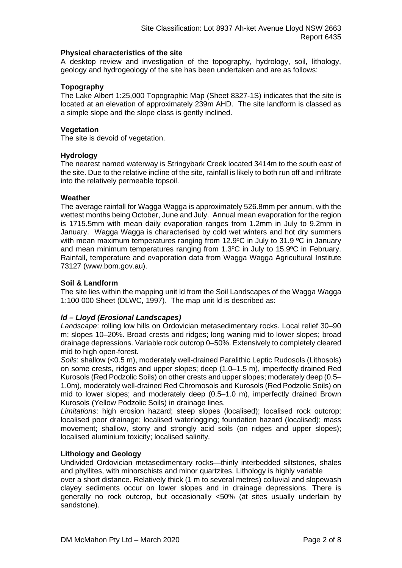## **Physical characteristics of the site**

A desktop review and investigation of the topography, hydrology, soil, lithology, geology and hydrogeology of the site has been undertaken and are as follows:

## **Topography**

The Lake Albert 1:25,000 Topographic Map (Sheet 8327-1S) indicates that the site is located at an elevation of approximately 239m AHD. The site landform is classed as a simple slope and the slope class is gently inclined.

#### **Vegetation**

The site is devoid of vegetation.

#### **Hydrology**

The nearest named waterway is Stringybark Creek located 3414m to the south east of the site. Due to the relative incline of the site, rainfall is likely to both run off and infiltrate into the relatively permeable topsoil.

#### **Weather**

The average rainfall for Wagga Wagga is approximately 526.8mm per annum, with the wettest months being October, June and July. Annual mean evaporation for the region is 1715.5mm with mean daily evaporation ranges from 1.2mm in July to 9.2mm in January. Wagga Wagga is characterised by cold wet winters and hot dry summers with mean maximum temperatures ranging from 12.9°C in July to 31.9 °C in January and mean minimum temperatures ranging from 1.3ºC in July to 15.9ºC in February. Rainfall, temperature and evaporation data from Wagga Wagga Agricultural Institute 73127 (www.bom.gov.au).

#### **Soil & Landform**

The site lies within the mapping unit ld from the Soil Landscapes of the Wagga Wagga 1:100 000 Sheet (DLWC, 1997). The map unit ld is described as:

## *ld – Lloyd (Erosional Landscapes)*

*Landscape*: rolling low hills on Ordovician metasedimentary rocks. Local relief 30–90 m; slopes 10–20%. Broad crests and ridges; long waning mid to lower slopes; broad drainage depressions. Variable rock outcrop 0–50%. Extensively to completely cleared mid to high open-forest.

*Soils*: shallow (<0.5 m), moderately well-drained Paralithic Leptic Rudosols (Lithosols) on some crests, ridges and upper slopes; deep (1.0–1.5 m), imperfectly drained Red Kurosols (Red Podzolic Soils) on other crests and upper slopes; moderately deep (0.5– 1.0m), moderately well-drained Red Chromosols and Kurosols (Red Podzolic Soils) on mid to lower slopes; and moderately deep (0.5–1.0 m), imperfectly drained Brown Kurosols (Yellow Podzolic Soils) in drainage lines.

*Limitations*: high erosion hazard; steep slopes (localised); localised rock outcrop; localised poor drainage; localised waterlogging; foundation hazard (localised); mass movement; shallow, stony and strongly acid soils (on ridges and upper slopes); localised aluminium toxicity; localised salinity.

#### **Lithology and Geology**

Undivided Ordovician metasedimentary rocks—thinly interbedded siltstones, shales and phyllites, with minorschists and minor quartzites. Lithology is highly variable

over a short distance. Relatively thick (1 m to several metres) colluvial and slopewash clayey sediments occur on lower slopes and in drainage depressions. There is generally no rock outcrop, but occasionally <50% (at sites usually underlain by sandstone).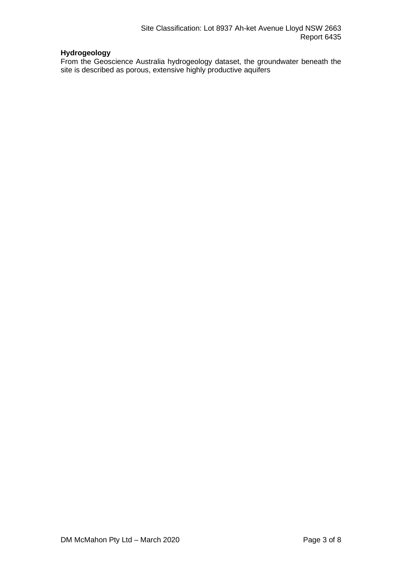# **Hydrogeology**

From the Geoscience Australia hydrogeology dataset, the groundwater beneath the site is described as porous, extensive highly productive aquifers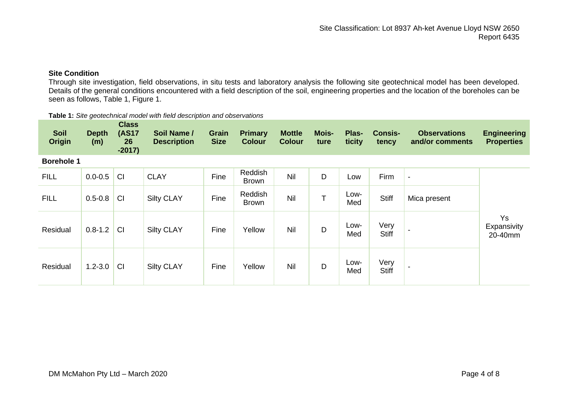# **Site Condition**

Through site investigation, field observations, in situ tests and laboratory analysis the following site geotechnical model has been developed. Details of the general conditions encountered with a field description of the soil, engineering properties and the location of the boreholes can be seen as follows, Table 1, Figure 1.

| Table 1: Site geotechnical model with field description and observations |  |
|--------------------------------------------------------------------------|--|
|--------------------------------------------------------------------------|--|

| <b>Soil</b><br><b>Origin</b> | <b>Depth</b><br>(m) | <b>Class</b><br><b>(AS17</b><br>26<br>$-2017$ | Soil Name /<br><b>Description</b> | <b>Grain</b><br><b>Size</b> | <b>Primary</b><br><b>Colour</b> | <b>Mottle</b><br><b>Colour</b> | <b>Mois-</b><br>ture | Plas-<br>ticity | <b>Consis-</b><br>tency | <b>Observations</b><br>and/or comments | <b>Engineering</b><br><b>Properties</b> |
|------------------------------|---------------------|-----------------------------------------------|-----------------------------------|-----------------------------|---------------------------------|--------------------------------|----------------------|-----------------|-------------------------|----------------------------------------|-----------------------------------------|
| <b>Borehole 1</b>            |                     |                                               |                                   |                             |                                 |                                |                      |                 |                         |                                        |                                         |
| <b>FILL</b>                  | $0.0 - 0.5$         | CI                                            | <b>CLAY</b>                       | Fine                        | Reddish<br><b>Brown</b>         | Nil                            | D                    | Low             | Firm                    | $\overline{\phantom{a}}$               |                                         |
| <b>FILL</b>                  | $0.5 - 0.8$         | <b>CI</b>                                     | <b>Silty CLAY</b>                 | Fine                        | Reddish<br><b>Brown</b>         | <b>Nil</b>                     | T                    | Low-<br>Med     | <b>Stiff</b>            | Mica present                           |                                         |
| Residual                     | $0.8 - 1.2$         | <b>CI</b>                                     | <b>Silty CLAY</b>                 | Fine                        | Yellow                          | Nil                            | D                    | Low-<br>Med     | Very<br><b>Stiff</b>    |                                        | <b>Ys</b><br>Expansivity<br>20-40mm     |
| Residual                     | $1.2 - 3.0$         | <b>CI</b>                                     | <b>Silty CLAY</b>                 | Fine                        | Yellow                          | <b>Nil</b>                     | D                    | Low-<br>Med     | Very<br><b>Stiff</b>    |                                        |                                         |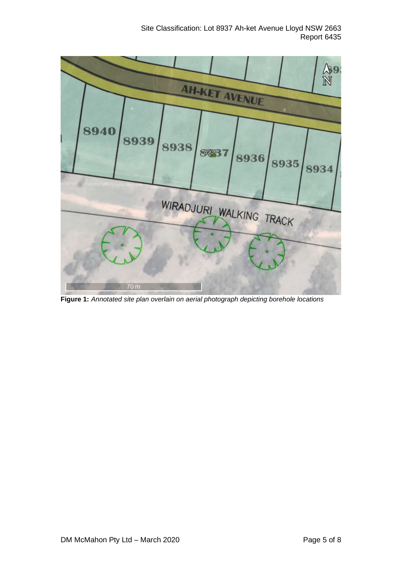

**Figure 1:** *Annotated site plan overlain on aerial photograph depicting borehole locations*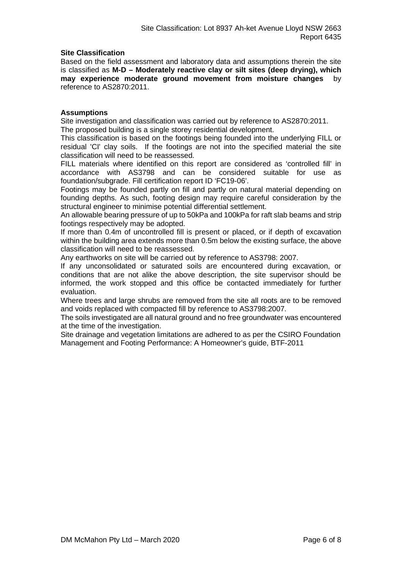## **Site Classification**

Based on the field assessment and laboratory data and assumptions therein the site is classified as **M-D – Moderately reactive clay or silt sites (deep drying), which may experience moderate ground movement from moisture changes** by reference to AS2870:2011.

## **Assumptions**

Site investigation and classification was carried out by reference to AS2870:2011. The proposed building is a single storey residential development.

This classification is based on the footings being founded into the underlying FILL or residual 'CI' clay soils. If the footings are not into the specified material the site classification will need to be reassessed.

FILL materials where identified on this report are considered as 'controlled fill' in accordance with AS3798 and can be considered suitable for use as foundation/subgrade. Fill certification report ID 'FC19-06'.

Footings may be founded partly on fill and partly on natural material depending on founding depths. As such, footing design may require careful consideration by the structural engineer to minimise potential differential settlement.

An allowable bearing pressure of up to 50kPa and 100kPa for raft slab beams and strip footings respectively may be adopted.

If more than 0.4m of uncontrolled fill is present or placed, or if depth of excavation within the building area extends more than 0.5m below the existing surface, the above classification will need to be reassessed.

Any earthworks on site will be carried out by reference to AS3798: 2007.

If any unconsolidated or saturated soils are encountered during excavation, or conditions that are not alike the above description, the site supervisor should be informed, the work stopped and this office be contacted immediately for further evaluation.

Where trees and large shrubs are removed from the site all roots are to be removed and voids replaced with compacted fill by reference to AS3798:2007.

The soils investigated are all natural ground and no free groundwater was encountered at the time of the investigation.

Site drainage and vegetation limitations are adhered to as per the CSIRO Foundation Management and Footing Performance: A Homeowner's guide, BTF-2011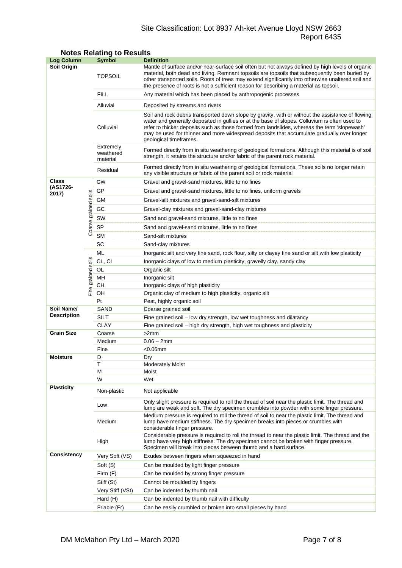# Site Classification: Lot 8937 Ah-ket Avenue Lloyd NSW 2663 Report 6435

| <b>Log Column</b>                |                      | <b>Symbol</b>                      | <b>Definition</b>                                                                                                                                                                                                                                                                                                                                                                                                          |  |  |  |  |
|----------------------------------|----------------------|------------------------------------|----------------------------------------------------------------------------------------------------------------------------------------------------------------------------------------------------------------------------------------------------------------------------------------------------------------------------------------------------------------------------------------------------------------------------|--|--|--|--|
| Soil Origin                      |                      | <b>TOPSOIL</b>                     | Mantle of surface and/or near-surface soil often but not always defined by high levels of organic<br>material, both dead and living. Remnant topsoils are topsoils that subsequently been buried by<br>other transported soils. Roots of trees may extend significantly into otherwise unaltered soil and<br>the presence of roots is not a sufficient reason for describing a material as topsoil.                        |  |  |  |  |
|                                  |                      | <b>FILL</b>                        | Any material which has been placed by anthropogenic processes                                                                                                                                                                                                                                                                                                                                                              |  |  |  |  |
|                                  |                      | Alluvial                           | Deposited by streams and rivers                                                                                                                                                                                                                                                                                                                                                                                            |  |  |  |  |
|                                  |                      | Colluvial                          | Soil and rock debris transported down slope by gravity, with or without the assistance of flowing<br>water and generally deposited in gullies or at the base of slopes. Colluvium is often used to<br>refer to thicker deposits such as those formed from landslides, whereas the term 'slopewash'<br>may be used for thinner and more widespread deposits that accumulate gradually over longer<br>geological timeframes. |  |  |  |  |
|                                  |                      | Extremely<br>weathered<br>material | Formed directly from in situ weathering of geological formations. Although this material is of soil<br>strength, it retains the structure and/or fabric of the parent rock material.                                                                                                                                                                                                                                       |  |  |  |  |
|                                  |                      | Residual                           | Formed directly from in situ weathering of geological formations. These soils no longer retain<br>any visible structure or fabric of the parent soil or rock material                                                                                                                                                                                                                                                      |  |  |  |  |
| <b>Class</b>                     |                      | GW                                 | Gravel and gravel-sand mixtures, little to no fines                                                                                                                                                                                                                                                                                                                                                                        |  |  |  |  |
| (AS1726-<br>2017)                |                      | GP                                 | Gravel and gravel-sand mixtures, little to no fines, uniform gravels                                                                                                                                                                                                                                                                                                                                                       |  |  |  |  |
|                                  |                      | GМ                                 | Gravel-silt mixtures and gravel-sand-silt mixtures                                                                                                                                                                                                                                                                                                                                                                         |  |  |  |  |
|                                  |                      | GC                                 | Gravel-clay mixtures and gravel-sand-clay mixtures                                                                                                                                                                                                                                                                                                                                                                         |  |  |  |  |
|                                  |                      | SW                                 | Sand and gravel-sand mixtures, little to no fines                                                                                                                                                                                                                                                                                                                                                                          |  |  |  |  |
|                                  | Coarse grained soils | <b>SP</b>                          | Sand and gravel-sand mixtures, little to no fines                                                                                                                                                                                                                                                                                                                                                                          |  |  |  |  |
|                                  |                      | <b>SM</b>                          | Sand-silt mixtures                                                                                                                                                                                                                                                                                                                                                                                                         |  |  |  |  |
|                                  |                      | SC                                 | Sand-clay mixtures                                                                                                                                                                                                                                                                                                                                                                                                         |  |  |  |  |
|                                  |                      | ML                                 | Inorganic silt and very fine sand, rock flour, silty or clayey fine sand or silt with low plasticity                                                                                                                                                                                                                                                                                                                       |  |  |  |  |
|                                  |                      | CL, CI                             | Inorganic clays of low to medium plasticity, gravelly clay, sandy clay                                                                                                                                                                                                                                                                                                                                                     |  |  |  |  |
|                                  |                      | OL                                 | Organic silt                                                                                                                                                                                                                                                                                                                                                                                                               |  |  |  |  |
|                                  | grained soils        | MН                                 | Inorganic silt                                                                                                                                                                                                                                                                                                                                                                                                             |  |  |  |  |
| Fine                             |                      | CН                                 | Inorganic clays of high plasticity                                                                                                                                                                                                                                                                                                                                                                                         |  |  |  |  |
|                                  |                      | OH                                 | Organic clay of medium to high plasticity, organic silt                                                                                                                                                                                                                                                                                                                                                                    |  |  |  |  |
|                                  |                      | Pt                                 | Peat, highly organic soil                                                                                                                                                                                                                                                                                                                                                                                                  |  |  |  |  |
| Soil Name/<br><b>Description</b> |                      | SAND                               | Coarse grained soil                                                                                                                                                                                                                                                                                                                                                                                                        |  |  |  |  |
|                                  |                      | <b>SILT</b>                        | Fine grained soil - low dry strength, low wet toughness and dilatancy                                                                                                                                                                                                                                                                                                                                                      |  |  |  |  |
| <b>Grain Size</b>                |                      | <b>CLAY</b><br>Coarse              | Fine grained soil – high dry strength, high wet toughness and plasticity<br>>2mm                                                                                                                                                                                                                                                                                                                                           |  |  |  |  |
|                                  |                      | Medium                             | $0.06 - 2mm$                                                                                                                                                                                                                                                                                                                                                                                                               |  |  |  |  |
|                                  |                      | Fine                               | $<$ 0.06 $mm$                                                                                                                                                                                                                                                                                                                                                                                                              |  |  |  |  |
| <b>Moisture</b>                  |                      | D                                  | Dry                                                                                                                                                                                                                                                                                                                                                                                                                        |  |  |  |  |
|                                  |                      | Τ                                  | <b>Moderately Moist</b>                                                                                                                                                                                                                                                                                                                                                                                                    |  |  |  |  |
|                                  |                      | М                                  | Moist                                                                                                                                                                                                                                                                                                                                                                                                                      |  |  |  |  |
|                                  |                      | W                                  | Wet                                                                                                                                                                                                                                                                                                                                                                                                                        |  |  |  |  |
| <b>Plasticity</b>                |                      | Non-plastic                        | Not applicable                                                                                                                                                                                                                                                                                                                                                                                                             |  |  |  |  |
|                                  |                      | Low                                | Only slight pressure is required to roll the thread of soil near the plastic limit. The thread and<br>lump are weak and soft. The dry specimen crumbles into powder with some finger pressure.                                                                                                                                                                                                                             |  |  |  |  |
|                                  |                      | Medium                             | Medium pressure is required to roll the thread of soil to near the plastic limit. The thread and<br>lump have medium stiffness. The dry specimen breaks into pieces or crumbles with<br>considerable finger pressure.                                                                                                                                                                                                      |  |  |  |  |
|                                  |                      | High                               | Considerable pressure is required to roll the thread to near the plastic limit. The thread and the<br>lump have very high stiffness. The dry specimen cannot be broken with finger pressure.<br>Specimen will break into pieces between thumb and a hard surface.                                                                                                                                                          |  |  |  |  |
| <b>Consistency</b>               |                      | Very Soft (VS)                     | Exudes between fingers when squeezed in hand                                                                                                                                                                                                                                                                                                                                                                               |  |  |  |  |
|                                  |                      | Soft (S)                           | Can be moulded by light finger pressure                                                                                                                                                                                                                                                                                                                                                                                    |  |  |  |  |
|                                  |                      | Firm (F)                           | Can be moulded by strong finger pressure                                                                                                                                                                                                                                                                                                                                                                                   |  |  |  |  |
|                                  |                      | Stiff (St)                         | Cannot be moulded by fingers                                                                                                                                                                                                                                                                                                                                                                                               |  |  |  |  |
|                                  |                      | Very Stiff (VSt)                   | Can be indented by thumb nail                                                                                                                                                                                                                                                                                                                                                                                              |  |  |  |  |
|                                  |                      | Hard (H)                           | Can be indented by thumb nail with difficulty                                                                                                                                                                                                                                                                                                                                                                              |  |  |  |  |
|                                  |                      | Friable (Fr)                       | Can be easily crumbled or broken into small pieces by hand                                                                                                                                                                                                                                                                                                                                                                 |  |  |  |  |

# **Notes Relating to Results**